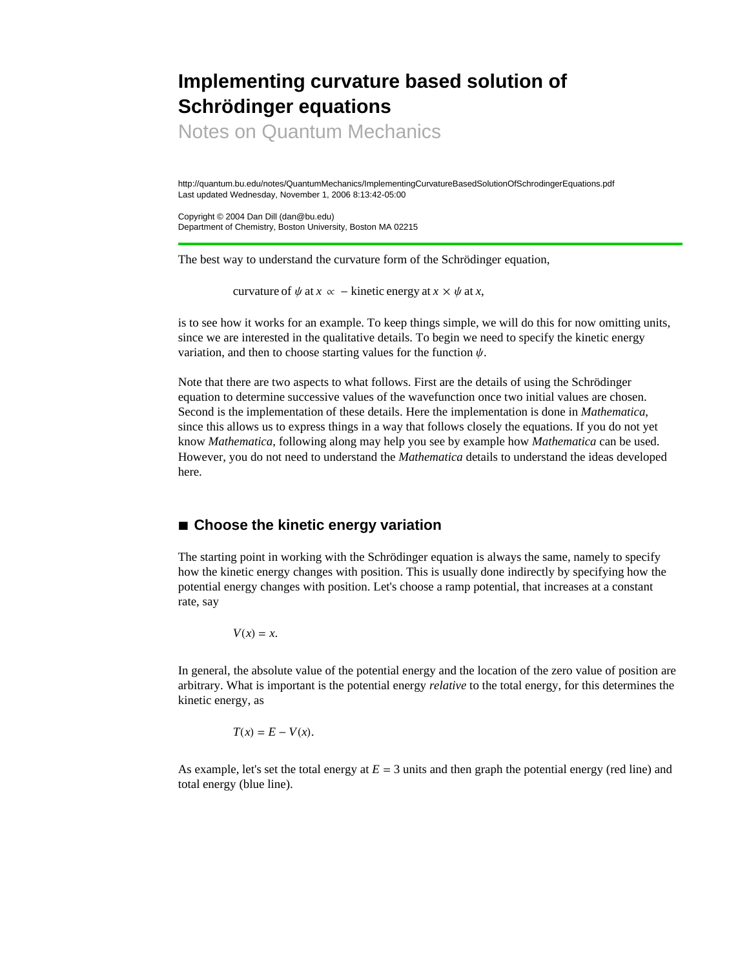## **Implementing curvature based solution of Schrödinger equations**

Notes on Quantum Mechanics

http://quantum.bu.edu/notes/QuantumMechanics/ImplementingCurvatureBasedSolutionOfSchrodingerEquations.pdf Last updated Wednesday, November 1, 2006 8:13:42-05:00

Copyright © 2004 Dan Dill (dan@bu.edu) Department of Chemistry, Boston University, Boston MA 02215

The best way to understand the curvature form of the Schrödinger equation,

curvature of  $\psi$  at  $x \propto -$  kinetic energy at  $x \times \psi$  at  $x$ ,

is to see how it works for an example. To keep things simple, we will do this for now omitting units, since we are interested in the qualitative details. To begin we need to specify the kinetic energy variation, and then to choose starting values for the function  $\psi$ .

Note that there are two aspects to what follows. First are the details of using the Schrödinger equation to determine successive values of the wavefunction once two initial values are chosen. Second is the implementation of these details. Here the implementation is done in *Mathematica*, since this allows us to express things in a way that follows closely the equations. If you do not yet know *Mathematica*, following along may help you see by example how *Mathematica* can be used. However, you do not need to understand the *Mathematica* details to understand the ideas developed here.

## **à Choose the kinetic energy variation**

The starting point in working with the Schrödinger equation is always the same, namely to specify how the kinetic energy changes with position. This is usually done indirectly by specifying how the potential energy changes with position. Let's choose a ramp potential, that increases at a constant rate, say

 $V(x) = x$ .

In general, the absolute value of the potential energy and the location of the zero value of position are arbitrary. What is important is the potential energy *relative* to the total energy, for this determines the kinetic energy, as

$$
T(x) = E - V(x).
$$

As example, let's set the total energy at  $E = 3$  units and then graph the potential energy (red line) and total energy (blue line).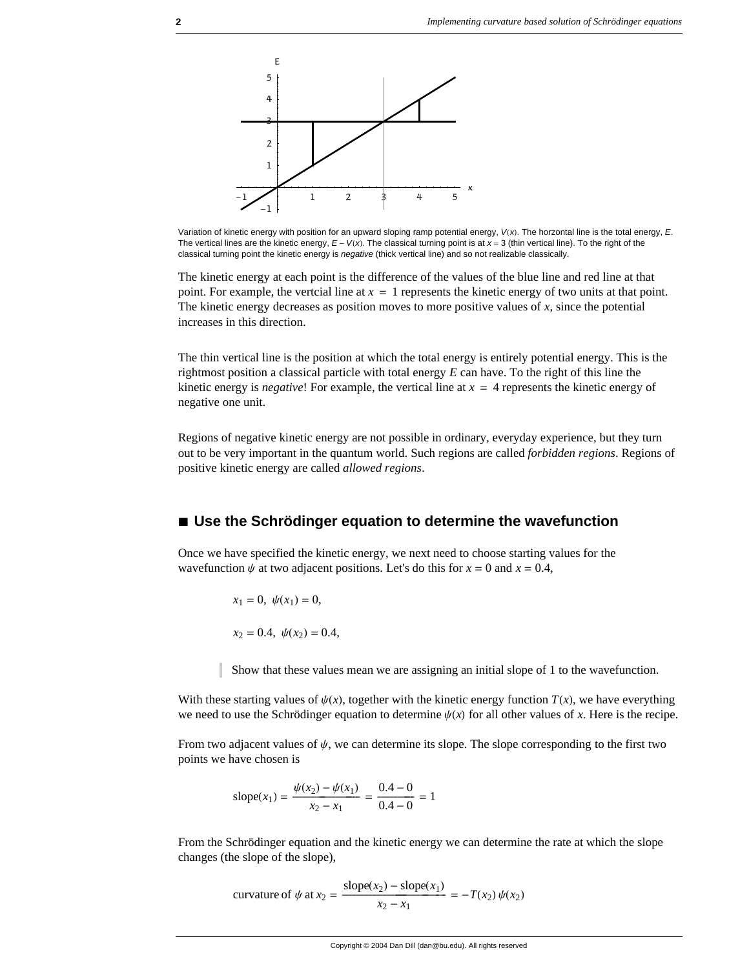

Variation of kinetic energy with position for an upward sloping ramp potential energy,  $V(x)$ . The horzontal line is the total energy, *E*. The vertical lines are the kinetic energy,  $E - V(x)$ . The classical turning point is at  $x = 3$  (thin vertical line). To the right of the classical turning point the kinetic energy is *negative* (thick vertical line) and so not realizable classically.

The kinetic energy at each point is the difference of the values of the blue line and red line at that point. For example, the vertcial line at  $x = 1$  represents the kinetic energy of two units at that point. The kinetic energy decreases as position moves to more positive values of *x*, since the potential increases in this direction.

The thin vertical line is the position at which the total energy is entirely potential energy. This is the rightmost position a classical particle with total energy *E* can have. To the right of this line the kinetic energy is *negative*! For example, the vertical line at  $x = 4$  represents the kinetic energy of negative one unit.

Regions of negative kinetic energy are not possible in ordinary, everyday experience, but they turn out to be very important in the quantum world. Such regions are called *forbidden regions*. Regions of positive kinetic energy are called *allowed regions*.

## **à Use the Schrödinger equation to determine the wavefunction**

Once we have specified the kinetic energy, we next need to choose starting values for the wavefunction  $\psi$  at two adjacent positions. Let's do this for  $x = 0$  and  $x = 0.4$ ,

$$
x_1 = 0, \psi(x_1) = 0,
$$
  
 $x_2 = 0.4, \psi(x_2) = 0.4,$ 

Show that these values mean we are assigning an initial slope of 1 to the wavefunction.

With these starting values of  $\psi(x)$ , together with the kinetic energy function  $T(x)$ , we have everything we need to use the Schrödinger equation to determine  $\psi(x)$  for all other values of *x*. Here is the recipe.

From two adjacent values of  $\psi$ , we can determine its slope. The slope corresponding to the first two points we have chosen is

slope(x<sub>1</sub>) = 
$$
\frac{\psi(x_2) - \psi(x_1)}{x_2 - x_1} = \frac{0.4 - 0}{0.4 - 0} = 1
$$

From the Schrödinger equation and the kinetic energy we can determine the rate at which the slope changes (the slope of the slope),

curvature of 
$$
\psi
$$
 at  $x_2 = \frac{\text{slope}(x_2) - \text{slope}(x_1)}{x_2 - x_1} = -T(x_2) \psi(x_2)$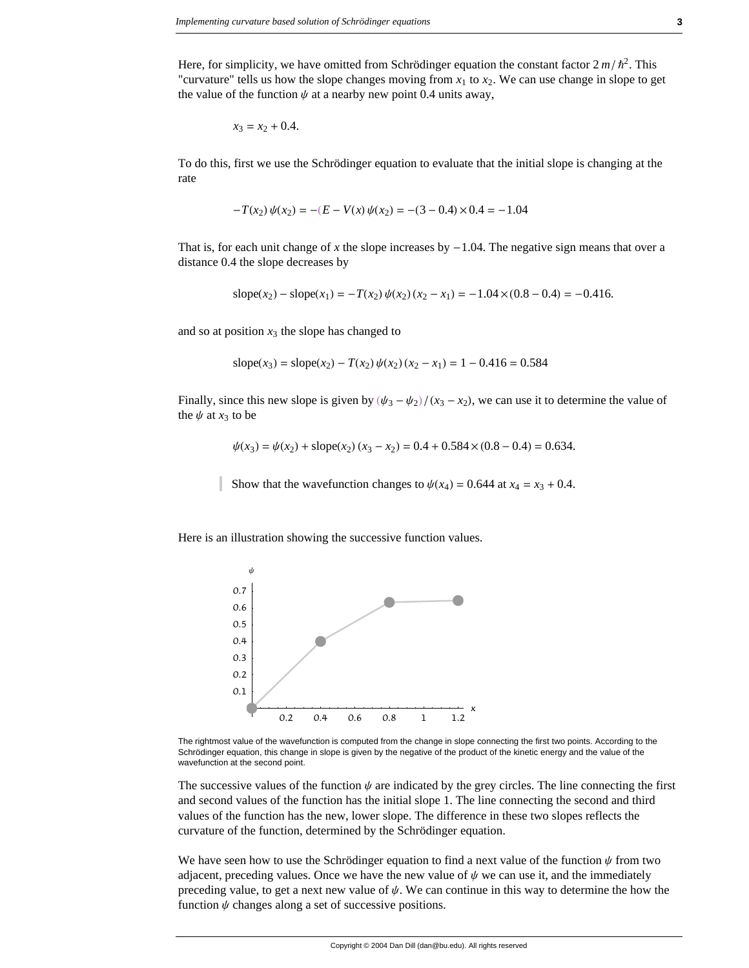Here, for simplicity, we have omitted from Schrödinger equation the constant factor  $2 m/h^2$ . This "curvature" tells us how the slope changes moving from  $x_1$  to  $x_2$ . We can use change in slope to get the value of the function  $\psi$  at a nearby new point 0.4 units away,

$$
x_3 = x_2 + 0.4.
$$

To do this, first we use the Schrödinger equation to evaluate that the initial slope is changing at the rate

$$
-T(x_2)\psi(x_2) = -(E - V(x)\psi(x_2)) = -(3 - 0.4) \times 0.4 = -1.04
$$

That is, for each unit change of x the slope increases by  $-1.04$ . The negative sign means that over a distance 0.4 the slope decreases by

$$
slope(x_2) - slope(x_1) = -T(x_2) \psi(x_2) (x_2 - x_1) = -1.04 \times (0.8 - 0.4) = -0.416.
$$

and so at position  $x_3$  the slope has changed to

$$
slope(x_3) = slope(x_2) - T(x_2) \psi(x_2) (x_2 - x_1) = 1 - 0.416 = 0.584
$$

Finally, since this new slope is given by  $(\psi_3 - \psi_2)/(x_3 - x_2)$ , we can use it to determine the value of the  $\psi$  at  $x_3$  to be

$$
\psi(x_3) = \psi(x_2) + \text{slope}(x_2) (x_3 - x_2) = 0.4 + 0.584 \times (0.8 - 0.4) = 0.634.
$$

Show that the wavefunction changes to  $\psi(x_4) = 0.644$  at  $x_4 = x_3 + 0.4$ .

Here is an illustration showing the successive function values.



The rightmost value of the wavefunction is computed from the change in slope connecting the first two points. According to the Schrödinger equation, this change in slope is given by the negative of the product of the kinetic energy and the value of the wavefunction at the second point.

The successive values of the function  $\psi$  are indicated by the grey circles. The line connecting the first and second values of the function has the initial slope 1. The line connecting the second and third values of the function has the new, lower slope. The difference in these two slopes reflects the curvature of the function, determined by the Schrödinger equation.

We have seen how to use the Schrödinger equation to find a next value of the function  $\psi$  from two adjacent, preceding values. Once we have the new value of  $\psi$  we can use it, and the immediately preceding value, to get a next new value of  $\psi$ . We can continue in this way to determine the how the function  $\psi$  changes along a set of successive positions.